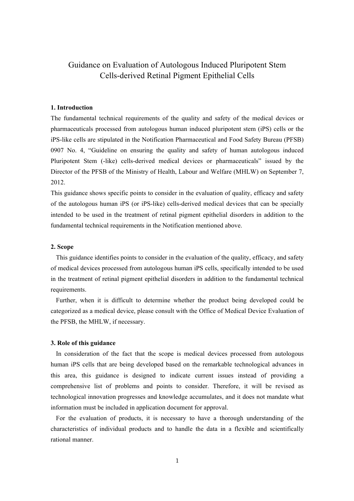# Guidance on Evaluation of Autologous Induced Pluripotent Stem Cells-derived Retinal Pigment Epithelial Cells

## **1. Introduction**

The fundamental technical requirements of the quality and safety of the medical devices or pharmaceuticals processed from autologous human induced pluripotent stem (iPS) cells or the iPS-like cells are stipulated in the Notification Pharmaceutical and Food Safety Bureau (PFSB) 0907 No. 4, "Guideline on ensuring the quality and safety of human autologous induced Pluripotent Stem (-like) cells-derived medical devices or pharmaceuticals" issued by the Director of the PFSB of the Ministry of Health, Labour and Welfare (MHLW) on September 7, 2012.

This guidance shows specific points to consider in the evaluation of quality, efficacy and safety of the autologous human iPS (or iPS-like) cells-derived medical devices that can be specially intended to be used in the treatment of retinal pigment epithelial disorders in addition to the fundamental technical requirements in the Notification mentioned above.

### **2. Scope**

This guidance identifies points to consider in the evaluation of the quality, efficacy, and safety of medical devices processed from autologous human iPS cells, specifically intended to be used in the treatment of retinal pigment epithelial disorders in addition to the fundamental technical requirements.

Further, when it is difficult to determine whether the product being developed could be categorized as a medical device, please consult with the Office of Medical Device Evaluation of the PFSB, the MHLW, if necessary.

### **3. Role of this guidance**

In consideration of the fact that the scope is medical devices processed from autologous human iPS cells that are being developed based on the remarkable technological advances in this area, this guidance is designed to indicate current issues instead of providing a comprehensive list of problems and points to consider. Therefore, it will be revised as technological innovation progresses and knowledge accumulates, and it does not mandate what information must be included in application document for approval.

For the evaluation of products, it is necessary to have a thorough understanding of the characteristics of individual products and to handle the data in a flexible and scientifically rational manner.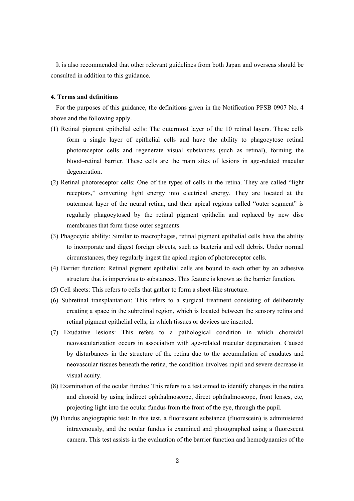It is also recommended that other relevant guidelines from both Japan and overseas should be consulted in addition to this guidance.

#### **4. Terms and definitions**

For the purposes of this guidance, the definitions given in the Notification PFSB 0907 No. 4 above and the following apply.

- (1) Retinal pigment epithelial cells: The outermost layer of the 10 retinal layers. These cells form a single layer of epithelial cells and have the ability to phagocytose retinal photoreceptor cells and regenerate visual substances (such as retinal), forming the blood–retinal barrier. These cells are the main sites of lesions in age-related macular degeneration.
- (2) Retinal photoreceptor cells: One of the types of cells in the retina. They are called "light receptors," converting light energy into electrical energy. They are located at the outermost layer of the neural retina, and their apical regions called "outer segment" is regularly phagocytosed by the retinal pigment epithelia and replaced by new disc membranes that form those outer segments.
- (3) Phagocytic ability: Similar to macrophages, retinal pigment epithelial cells have the ability to incorporate and digest foreign objects, such as bacteria and cell debris. Under normal circumstances, they regularly ingest the apical region of photoreceptor cells.
- (4) Barrier function: Retinal pigment epithelial cells are bound to each other by an adhesive structure that is impervious to substances. This feature is known as the barrier function.
- (5) Cell sheets: This refers to cells that gather to form a sheet-like structure.
- (6) Subretinal transplantation: This refers to a surgical treatment consisting of deliberately creating a space in the subretinal region, which is located between the sensory retina and retinal pigment epithelial cells, in which tissues or devices are inserted.
- (7) Exudative lesions: This refers to a pathological condition in which choroidal neovascularization occurs in association with age-related macular degeneration. Caused by disturbances in the structure of the retina due to the accumulation of exudates and neovascular tissues beneath the retina, the condition involves rapid and severe decrease in visual acuity.
- (8) Examination of the ocular fundus: This refers to a test aimed to identify changes in the retina and choroid by using indirect ophthalmoscope, direct ophthalmoscope, front lenses, etc, projecting light into the ocular fundus from the front of the eye, through the pupil.
- (9) Fundus angiographic test: In this test, a fluorescent substance (fluorescein) is administered intravenously, and the ocular fundus is examined and photographed using a fluorescent camera. This test assists in the evaluation of the barrier function and hemodynamics of the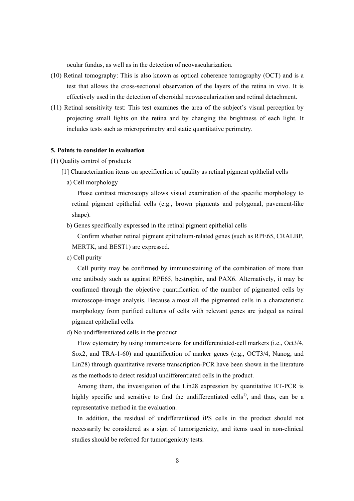ocular fundus, as well as in the detection of neovascularization.

- (10) Retinal tomography: This is also known as optical coherence tomography (OCT) and is a test that allows the cross-sectional observation of the layers of the retina in vivo. It is effectively used in the detection of choroidal neovascularization and retinal detachment.
- (11) Retinal sensitivity test: This test examines the area of the subject's visual perception by projecting small lights on the retina and by changing the brightness of each light. It includes tests such as microperimetry and static quantitative perimetry.

### **5. Points to consider in evaluation**

- (1) Quality control of products
	- [1] Characterization items on specification of quality as retinal pigment epithelial cells
		- a) Cell morphology

Phase contrast microscopy allows visual examination of the specific morphology to retinal pigment epithelial cells (e.g., brown pigments and polygonal, pavement-like shape).

b) Genes specifically expressed in the retinal pigment epithelial cells

Confirm whether retinal pigment epithelium-related genes (such as RPE65, CRALBP, MERTK, and BEST1) are expressed.

c) Cell purity

Cell purity may be confirmed by immunostaining of the combination of more than one antibody such as against RPE65, bestrophin, and PAX6. Alternatively, it may be confirmed through the objective quantification of the number of pigmented cells by microscope-image analysis. Because almost all the pigmented cells in a characteristic morphology from purified cultures of cells with relevant genes are judged as retinal pigment epithelial cells.

d) No undifferentiated cells in the product

Flow cytometry by using immunostains for undifferentiated-cell markers (i.e., Oct3/4, Sox2, and TRA-1-60) and quantification of marker genes (e.g., OCT3/4, Nanog, and Lin28) through quantitative reverse transcription-PCR have been shown in the literature as the methods to detect residual undifferentiated cells in the product.

Among them, the investigation of the Lin28 expression by quantitative RT-PCR is highly specific and sensitive to find the undifferentiated cells<sup>1)</sup>, and thus, can be a representative method in the evaluation.

In addition, the residual of undifferentiated iPS cells in the product should not necessarily be considered as a sign of tumorigenicity, and items used in non-clinical studies should be referred for tumorigenicity tests.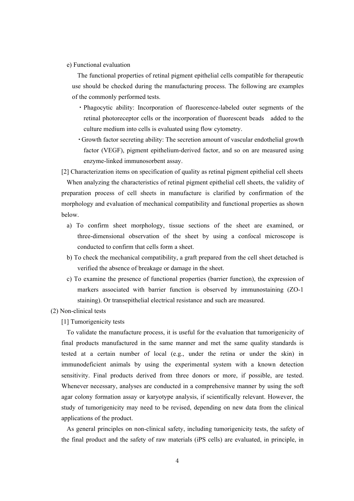e) Functional evaluation

The functional properties of retinal pigment epithelial cells compatible for therapeutic use should be checked during the manufacturing process. The following are examples of the commonly performed tests.

- ・Phagocytic ability: Incorporation of fluorescence-labeled outer segments of the retinal photoreceptor cells or the incorporation of fluorescent beads added to the culture medium into cells is evaluated using flow cytometry.
- ・Growth factor secreting ability: The secretion amount of vascular endothelial growth factor (VEGF), pigment epithelium-derived factor, and so on are measured using enzyme-linked immunosorbent assay.

[2] Characterization items on specification of quality as retinal pigment epithelial cell sheets When analyzing the characteristics of retinal pigment epithelial cell sheets, the validity of preparation process of cell sheets in manufacture is clarified by confirmation of the morphology and evaluation of mechanical compatibility and functional properties as shown below.

- a) To confirm sheet morphology, tissue sections of the sheet are examined, or three-dimensional observation of the sheet by using a confocal microscope is conducted to confirm that cells form a sheet.
- b) To check the mechanical compatibility, a graft prepared from the cell sheet detached is verified the absence of breakage or damage in the sheet.
- c) To examine the presence of functional properties (barrier function), the expression of markers associated with barrier function is observed by immunostaining (ZO-1 staining). Or transepithelial electrical resistance and such are measured.

(2) Non-clinical tests

[1] Tumorigenicity tests

To validate the manufacture process, it is useful for the evaluation that tumorigenicity of final products manufactured in the same manner and met the same quality standards is tested at a certain number of local (e.g., under the retina or under the skin) in immunodeficient animals by using the experimental system with a known detection sensitivity. Final products derived from three donors or more, if possible, are tested. Whenever necessary, analyses are conducted in a comprehensive manner by using the soft agar colony formation assay or karyotype analysis, if scientifically relevant. However, the study of tumorigenicity may need to be revised, depending on new data from the clinical applications of the product.

As general principles on non-clinical safety, including tumorigenicity tests, the safety of the final product and the safety of raw materials (iPS cells) are evaluated, in principle, in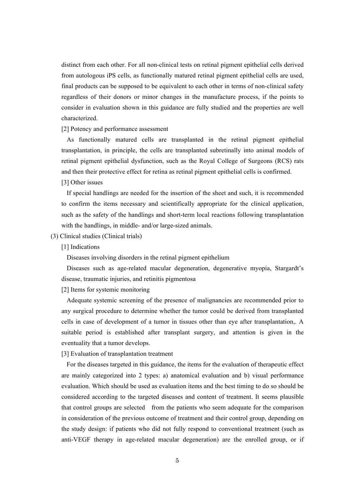distinct from each other. For all non-clinical tests on retinal pigment epithelial cells derived from autologous iPS cells, as functionally matured retinal pigment epithelial cells are used, final products can be supposed to be equivalent to each other in terms of non-clinical safety regardless of their donors or minor changes in the manufacture process, if the points to consider in evaluation shown in this guidance are fully studied and the properties are well characterized.

[2] Potency and performance assessment

As functionally matured cells are transplanted in the retinal pigment epithelial transplantation, in principle, the cells are transplanted subretinally into animal models of retinal pigment epithelial dysfunction, such as the Royal College of Surgeons (RCS) rats and then their protective effect for retina as retinal pigment epithelial cells is confirmed.

[3] Other issues

If special handlings are needed for the insertion of the sheet and such, it is recommended to confirm the items necessary and scientifically appropriate for the clinical application, such as the safety of the handlings and short-term local reactions following transplantation with the handlings, in middle- and/or large-sized animals.

(3) Clinical studies (Clinical trials)

[1] Indications

Diseases involving disorders in the retinal pigment epithelium

Diseases such as age-related macular degeneration, degenerative myopia, Stargardt's disease, traumatic injuries, and retinitis pigmentosa

[2] Items for systemic monitoring

Adequate systemic screening of the presence of malignancies are recommended prior to any surgical procedure to determine whether the tumor could be derived from transplanted cells in case of development of a tumor in tissues other than eye after transplantation,. A suitable period is established after transplant surgery, and attention is given in the eventuality that a tumor develops.

[3] Evaluation of transplantation treatment

For the diseases targeted in this guidance, the items for the evaluation of therapeutic effect are mainly categorized into 2 types: a) anatomical evaluation and b) visual performance evaluation. Which should be used as evaluation items and the best timing to do so should be considered according to the targeted diseases and content of treatment. It seems plausible that control groups are selected from the patients who seem adequate for the comparison in consideration of the previous outcome of treatment and their control group, depending on the study design: if patients who did not fully respond to conventional treatment (such as anti-VEGF therapy in age-related macular degeneration) are the enrolled group, or if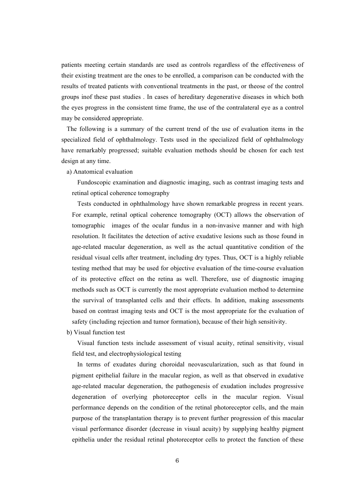patients meeting certain standards are used as controls regardless of the effectiveness of their existing treatment are the ones to be enrolled, a comparison can be conducted with the results of treated patients with conventional treatments in the past, or theose of the control groups inof these past studies . In cases of hereditary degenerative diseases in which both the eyes progress in the consistent time frame, the use of the contralateral eye as a control may be considered appropriate.

The following is a summary of the current trend of the use of evaluation items in the specialized field of ophthalmology. Tests used in the specialized field of ophthalmology have remarkably progressed; suitable evaluation methods should be chosen for each test design at any time.

a) Anatomical evaluation

Fundoscopic examination and diagnostic imaging, such as contrast imaging tests and retinal optical coherence tomography

Tests conducted in ophthalmology have shown remarkable progress in recent years. For example, retinal optical coherence tomography (OCT) allows the observation of tomographic images of the ocular fundus in a non-invasive manner and with high resolution. It facilitates the detection of active exudative lesions such as those found in age-related macular degeneration, as well as the actual quantitative condition of the residual visual cells after treatment, including dry types. Thus, OCT is a highly reliable testing method that may be used for objective evaluation of the time-course evaluation of its protective effect on the retina as well. Therefore, use of diagnostic imaging methods such as OCT is currently the most appropriate evaluation method to determine the survival of transplanted cells and their effects. In addition, making assessments based on contrast imaging tests and OCT is the most appropriate for the evaluation of safety (including rejection and tumor formation), because of their high sensitivity.

b) Visual function test

Visual function tests include assessment of visual acuity, retinal sensitivity, visual field test, and electrophysiological testing

In terms of exudates during choroidal neovascularization, such as that found in pigment epithelial failure in the macular region, as well as that observed in exudative age-related macular degeneration, the pathogenesis of exudation includes progressive degeneration of overlying photoreceptor cells in the macular region. Visual performance depends on the condition of the retinal photoreceptor cells, and the main purpose of the transplantation therapy is to prevent further progression of this macular visual performance disorder (decrease in visual acuity) by supplying healthy pigment epithelia under the residual retinal photoreceptor cells to protect the function of these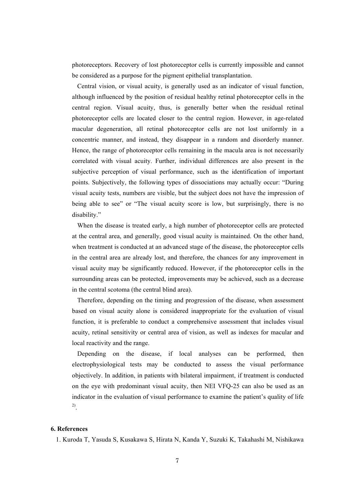photoreceptors. Recovery of lost photoreceptor cells is currently impossible and cannot be considered as a purpose for the pigment epithelial transplantation.

Central vision, or visual acuity, is generally used as an indicator of visual function, although influenced by the position of residual healthy retinal photoreceptor cells in the central region. Visual acuity, thus, is generally better when the residual retinal photoreceptor cells are located closer to the central region. However, in age-related macular degeneration, all retinal photoreceptor cells are not lost uniformly in a concentric manner, and instead, they disappear in a random and disorderly manner. Hence, the range of photoreceptor cells remaining in the macula area is not necessarily correlated with visual acuity. Further, individual differences are also present in the subjective perception of visual performance, such as the identification of important points. Subjectively, the following types of dissociations may actually occur: "During visual acuity tests, numbers are visible, but the subject does not have the impression of being able to see" or "The visual acuity score is low, but surprisingly, there is no disability."

When the disease is treated early, a high number of photoreceptor cells are protected at the central area, and generally, good visual acuity is maintained. On the other hand, when treatment is conducted at an advanced stage of the disease, the photoreceptor cells in the central area are already lost, and therefore, the chances for any improvement in visual acuity may be significantly reduced. However, if the photoreceptor cells in the surrounding areas can be protected, improvements may be achieved, such as a decrease in the central scotoma (the central blind area).

Therefore, depending on the timing and progression of the disease, when assessment based on visual acuity alone is considered inappropriate for the evaluation of visual function, it is preferable to conduct a comprehensive assessment that includes visual acuity, retinal sensitivity or central area of vision, as well as indexes for macular and local reactivity and the range.

Depending on the disease, if local analyses can be performed, then electrophysiological tests may be conducted to assess the visual performance objectively. In addition, in patients with bilateral impairment, if treatment is conducted on the eye with predominant visual acuity, then NEI VFQ-25 can also be used as an indicator in the evaluation of visual performance to examine the patient's quality of life 2).

## **6. References**

1. Kuroda T, Yasuda S, Kusakawa S, Hirata N, Kanda Y, Suzuki K, Takahashi M, Nishikawa